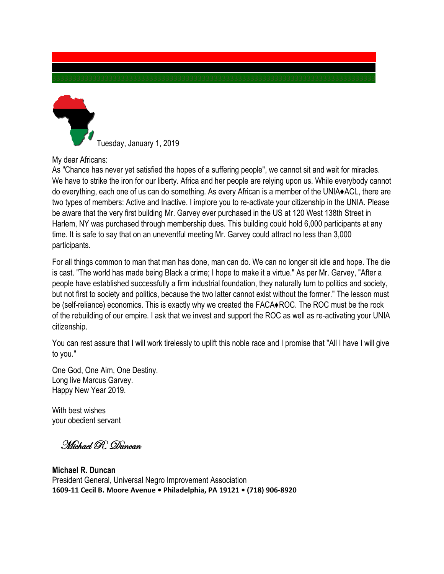

Tuesday, January 1, 2019

My dear Africans:

As "Chance has never yet satisfied the hopes of a suffering people", we cannot sit and wait for miracles. We have to strike the iron for our liberty. Africa and her people are relying upon us. While everybody cannot do everything, each one of us can do something. As every African is a member of the UNIA♦ACL, there are two types of members: Active and Inactive. I implore you to re-activate your citizenship in the UNIA. Please be aware that the very first building Mr. Garvey ever purchased in the US at 120 West 138th Street in Harlem, NY was purchased through membership dues. This building could hold 6,000 participants at any time. It is safe to say that on an uneventful meeting Mr. Garvey could attract no less than 3,000 participants.

For all things common to man that man has done, man can do. We can no longer sit idle and hope. The die is cast. "The world has made being Black a crime; I hope to make it a virtue." As per Mr. Garvey, "After a people have established successfully a firm industrial foundation, they naturally turn to politics and society, but not first to society and politics, because the two latter cannot exist without the former." The lesson must be (self-reliance) economics. This is exactly why we created the FACA♦ROC. The ROC must be the rock of the rebuilding of our empire. I ask that we invest and support the ROC as well as re-activating your UNIA citizenship.

You can rest assure that I will work tirelessly to uplift this noble race and I promise that "All I have I will give to you."

One God, One Aim, One Destiny. Long live Marcus Garvey. Happy New Year 2019.

With best wishes your obedient servant

Michael R. Duncan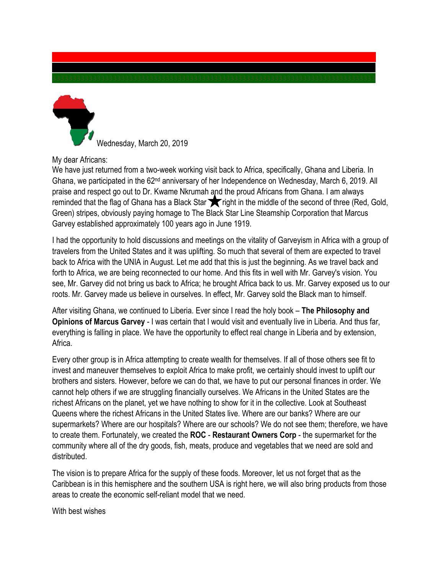

Wednesday, March 20, 2019

My dear Africans:

We have just returned from a two-week working visit back to Africa, specifically, Ghana and Liberia. In Ghana, we participated in the 62nd anniversary of her Independence on Wednesday, March 6, 2019. All praise and respect go out to Dr. Kwame Nkrumah and the proud Africans from Ghana. I am always reminded that the flag of Ghana has a Black Star **The Fright in the middle of the second of three (Red, Gold,** Green) stripes, obviously paying homage to The Black Star Line Steamship Corporation that Marcus Garvey established approximately 100 years ago in June 1919.

I had the opportunity to hold discussions and meetings on the vitality of Garveyism in Africa with a group of travelers from the United States and it was uplifting. So much that several of them are expected to travel back to Africa with the UNIA in August. Let me add that this is just the beginning. As we travel back and forth to Africa, we are being reconnected to our home. And this fits in well with Mr. Garvey's vision. You see, Mr. Garvey did not bring us back to Africa; he brought Africa back to us. Mr. Garvey exposed us to our roots. Mr. Garvey made us believe in ourselves. In effect, Mr. Garvey sold the Black man to himself.

After visiting Ghana, we continued to Liberia. Ever since I read the holy book – **The Philosophy and Opinions of Marcus Garvey** - I was certain that I would visit and eventually live in Liberia. And thus far, everything is falling in place. We have the opportunity to effect real change in Liberia and by extension, Africa.

Every other group is in Africa attempting to create wealth for themselves. If all of those others see fit to invest and maneuver themselves to exploit Africa to make profit, we certainly should invest to uplift our brothers and sisters. However, before we can do that, we have to put our personal finances in order. We cannot help others if we are struggling financially ourselves. We Africans in the United States are the richest Africans on the planet, yet we have nothing to show for it in the collective. Look at Southeast Queens where the richest Africans in the United States live. Where are our banks? Where are our supermarkets? Where are our hospitals? Where are our schools? We do not see them; therefore, we have to create them. Fortunately, we created the **ROC** - **Restaurant Owners Corp** - the supermarket for the community where all of the dry goods, fish, meats, produce and vegetables that we need are sold and distributed.

The vision is to prepare Africa for the supply of these foods. Moreover, let us not forget that as the Caribbean is in this hemisphere and the southern USA is right here, we will also bring products from those areas to create the economic self-reliant model that we need.

With best wishes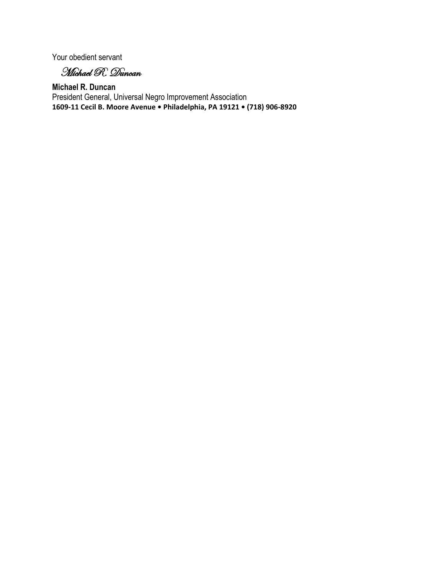Your obedient servant

Michael R. Duncan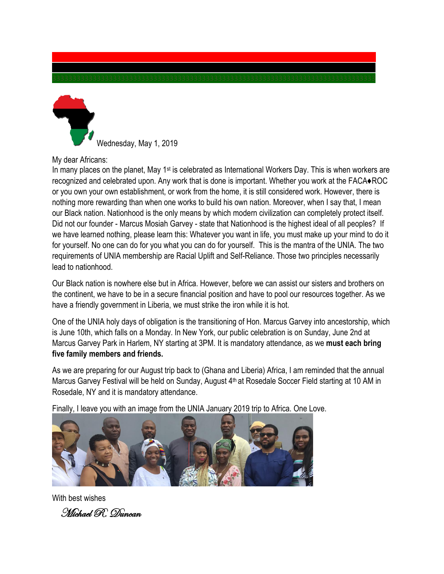

Wednesday, May 1, 2019

My dear Africans:

In many places on the planet, May  $1^{st}$  is celebrated as International Workers Day. This is when workers are recognized and celebrated upon. Any work that is done is important. Whether you work at the FACA♦ROC or you own your own establishment, or work from the home, it is still considered work. However, there is nothing more rewarding than when one works to build his own nation. Moreover, when I say that, I mean our Black nation. Nationhood is the only means by which modern civilization can completely protect itself. Did not our founder - Marcus Mosiah Garvey - state that Nationhood is the highest ideal of all peoples? If we have learned nothing, please learn this: Whatever you want in life, you must make up your mind to do it for yourself. No one can do for you what you can do for yourself. This is the mantra of the UNIA. The two requirements of UNIA membership are Racial Uplift and Self-Reliance. Those two principles necessarily lead to nationhood.

Our Black nation is nowhere else but in Africa. However, before we can assist our sisters and brothers on the continent, we have to be in a secure financial position and have to pool our resources together. As we have a friendly government in Liberia, we must strike the iron while it is hot.

One of the UNIA holy days of obligation is the transitioning of Hon. Marcus Garvey into ancestorship, which is June 10th, which falls on a Monday. In New York, our public celebration is on Sunday, June 2nd at Marcus Garvey Park in Harlem, NY starting at 3PM. It is mandatory attendance, as we **must each bring five family members and friends.**

As we are preparing for our August trip back to (Ghana and Liberia) Africa, I am reminded that the annual Marcus Garvey Festival will be held on Sunday, August 4<sup>th</sup> at Rosedale Soccer Field starting at 10 AM in Rosedale, NY and it is mandatory attendance.

Finally, I leave you with an image from the UNIA January 2019 trip to Africa. One Love.



With best wishes Michael R. Duncan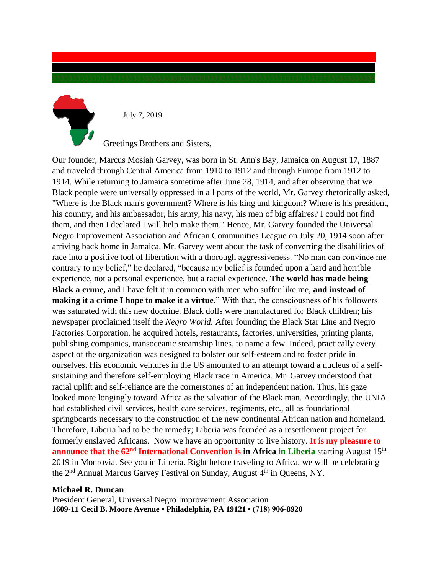

July 7, 2019

Greetings Brothers and Sisters,

Our founder, Marcus Mosiah Garvey, was born in St. Ann's Bay, Jamaica on August 17, 1887 and traveled through Central America from 1910 to 1912 and through Europe from 1912 to 1914. While returning to Jamaica sometime after June 28, 1914, and after observing that we Black people were universally oppressed in all parts of the world, Mr. Garvey rhetorically asked, "Where is the Black man's government? Where is his king and kingdom? Where is his president, his country, and his ambassador, his army, his navy, his men of big affaires? I could not find them, and then I declared I will help make them." Hence, Mr. Garvey founded the Universal Negro Improvement Association and African Communities League on July 20, 1914 soon after arriving back home in Jamaica. Mr. Garvey went about the task of converting the disabilities of race into a positive tool of liberation with a thorough aggressiveness. "No man can convince me contrary to my belief," he declared, "because my belief is founded upon a hard and horrible experience, not a personal experience, but a racial experience. **The world has made being Black a crime,** and I have felt it in common with men who suffer like me, **and instead of making it a crime I hope to make it a virtue.**" With that, the consciousness of his followers was saturated with this new doctrine. Black dolls were manufactured for Black children; his newspaper proclaimed itself the *Negro World.* After founding the Black Star Line and Negro Factories Corporation, he acquired hotels, restaurants, factories, universities, printing plants, publishing companies, transoceanic steamship lines, to name a few. Indeed, practically every aspect of the organization was designed to bolster our self-esteem and to foster pride in ourselves. His economic ventures in the US amounted to an attempt toward a nucleus of a selfsustaining and therefore self-employing Black race in America. Mr. Garvey understood that racial uplift and self-reliance are the cornerstones of an independent nation. Thus, his gaze looked more longingly toward Africa as the salvation of the Black man. Accordingly, the UNIA had established civil services, health care services, regiments, etc., all as foundational springboards necessary to the construction of the new continental African nation and homeland. Therefore, Liberia had to be the remedy; Liberia was founded as a resettlement project for formerly enslaved Africans. Now we have an opportunity to live history. **It is my pleasure to announce that the 62<sup>nd</sup> International Convention is in Africa in Liberia** starting August 15<sup>th</sup> 2019 in Monrovia. See you in Liberia. Right before traveling to Africa, we will be celebrating the  $2<sup>nd</sup>$  Annual Marcus Garvey Festival on Sunday, August  $4<sup>th</sup>$  in Oueens, NY.

#### **Michael R. Duncan**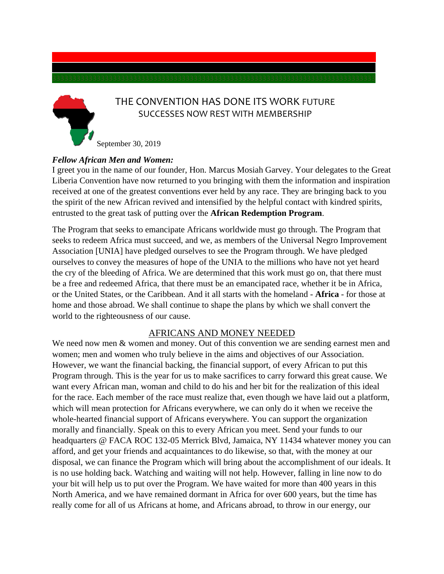## THE CONVENTION HAS DONE ITS WORK FUTURE SUCCESSES NOW REST WITH MEMBERSHIP

September 30, 2019

### *Fellow African Men and Women:*

I greet you in the name of our founder, Hon. Marcus Mosiah Garvey. Your delegates to the Great Liberia Convention have now returned to you bringing with them the information and inspiration received at one of the greatest conventions ever held by any race. They are bringing back to you the spirit of the new African revived and intensified by the helpful contact with kindred spirits, entrusted to the great task of putting over the **African Redemption Program**.

The Program that seeks to emancipate Africans worldwide must go through. The Program that seeks to redeem Africa must succeed, and we, as members of the Universal Negro Improvement Association [UNIA] have pledged ourselves to see the Program through. We have pledged ourselves to convey the measures of hope of the UNIA to the millions who have not yet heard the cry of the bleeding of Africa. We are determined that this work must go on, that there must be a free and redeemed Africa, that there must be an emancipated race, whether it be in Africa, or the United States, or the Caribbean. And it all starts with the homeland - **Africa** - for those at home and those abroad. We shall continue to shape the plans by which we shall convert the world to the righteousness of our cause.

### AFRICANS AND MONEY NEEDED

We need now men & women and money. Out of this convention we are sending earnest men and women; men and women who truly believe in the aims and objectives of our Association. However, we want the financial backing, the financial support, of every African to put this Program through. This is the year for us to make sacrifices to carry forward this great cause. We want every African man, woman and child to do his and her bit for the realization of this ideal for the race. Each member of the race must realize that, even though we have laid out a platform, which will mean protection for Africans everywhere, we can only do it when we receive the whole-hearted financial support of Africans everywhere. You can support the organization morally and financially. Speak on this to every African you meet. Send your funds to our headquarters @ FACA ROC 132-05 Merrick Blvd, Jamaica, NY 11434 whatever money you can afford, and get your friends and acquaintances to do likewise, so that, with the money at our disposal, we can finance the Program which will bring about the accomplishment of our ideals. It is no use holding back. Watching and waiting will not help. However, falling in line now to do your bit will help us to put over the Program. We have waited for more than 400 years in this North America, and we have remained dormant in Africa for over 600 years, but the time has really come for all of us Africans at home, and Africans abroad, to throw in our energy, our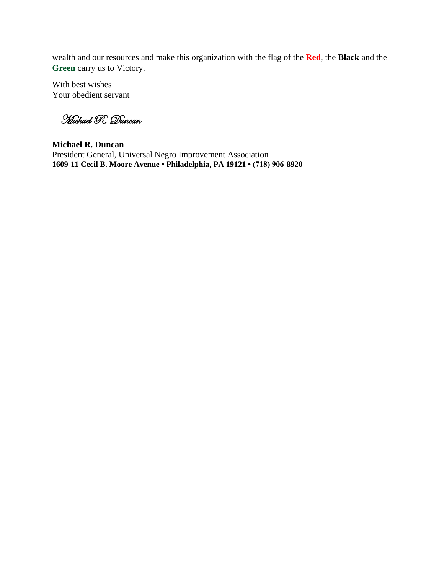wealth and our resources and make this organization with the flag of the **Red**, the **Black** and the **Green** carry us to Victory.

With best wishes Your obedient servant

Michael R. Duncan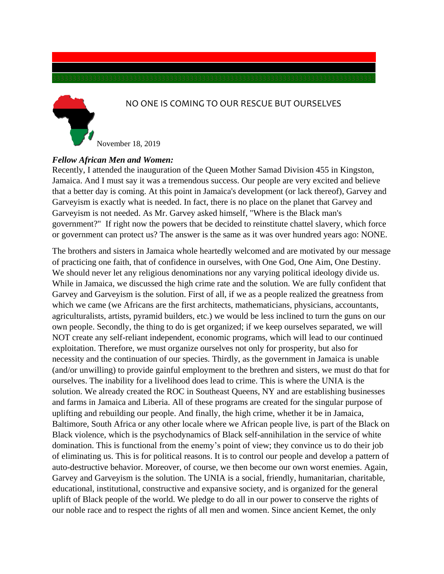### NO ONE IS COMING TO OUR RESCUE BUT OURSELVES

November 18, 2019

#### *Fellow African Men and Women:*

Recently, I attended the inauguration of the Queen Mother Samad Division 455 in Kingston, Jamaica. And I must say it was a tremendous success. Our people are very excited and believe that a better day is coming. At this point in Jamaica's development (or lack thereof), Garvey and Garveyism is exactly what is needed. In fact, there is no place on the planet that Garvey and Garveyism is not needed. As Mr. Garvey asked himself, "Where is the Black man's government?" If right now the powers that be decided to reinstitute chattel slavery, which force or government can protect us? The answer is the same as it was over hundred years ago: NONE.

The brothers and sisters in Jamaica whole heartedly welcomed and are motivated by our message of practicing one faith, that of confidence in ourselves, with One God, One Aim, One Destiny. We should never let any religious denominations nor any varying political ideology divide us. While in Jamaica, we discussed the high crime rate and the solution. We are fully confident that Garvey and Garveyism is the solution. First of all, if we as a people realized the greatness from which we came (we Africans are the first architects, mathematicians, physicians, accountants, agriculturalists, artists, pyramid builders, etc.) we would be less inclined to turn the guns on our own people. Secondly, the thing to do is get organized; if we keep ourselves separated, we will NOT create any self-reliant independent, economic programs, which will lead to our continued exploitation. Therefore, we must organize ourselves not only for prosperity, but also for necessity and the continuation of our species. Thirdly, as the government in Jamaica is unable (and/or unwilling) to provide gainful employment to the brethren and sisters, we must do that for ourselves. The inability for a livelihood does lead to crime. This is where the UNIA is the solution. We already created the ROC in Southeast Queens, NY and are establishing businesses and farms in Jamaica and Liberia. All of these programs are created for the singular purpose of uplifting and rebuilding our people. And finally, the high crime, whether it be in Jamaica, Baltimore, South Africa or any other locale where we African people live, is part of the Black on Black violence, which is the psychodynamics of Black self-annihilation in the service of white domination. This is functional from the enemy's point of view; they convince us to do their job of eliminating us. This is for political reasons. It is to control our people and develop a pattern of auto-destructive behavior. Moreover, of course, we then become our own worst enemies. Again, Garvey and Garveyism is the solution. The UNIA is a social, friendly, humanitarian, charitable, educational, institutional, constructive and expansive society, and is organized for the general uplift of Black people of the world. We pledge to do all in our power to conserve the rights of our noble race and to respect the rights of all men and women. Since ancient Kemet, the only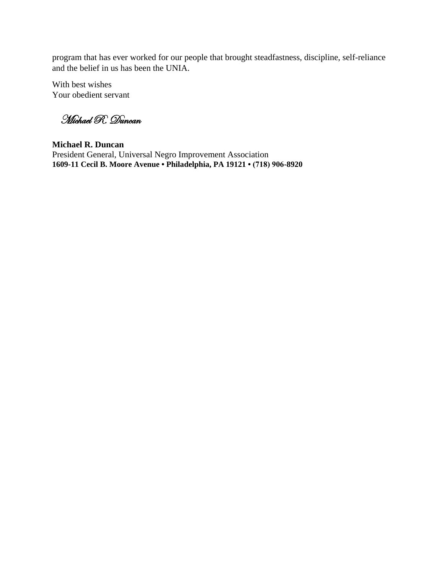program that has ever worked for our people that brought steadfastness, discipline, self-reliance and the belief in us has been the UNIA.

With best wishes Your obedient servant

Michael R. Duncan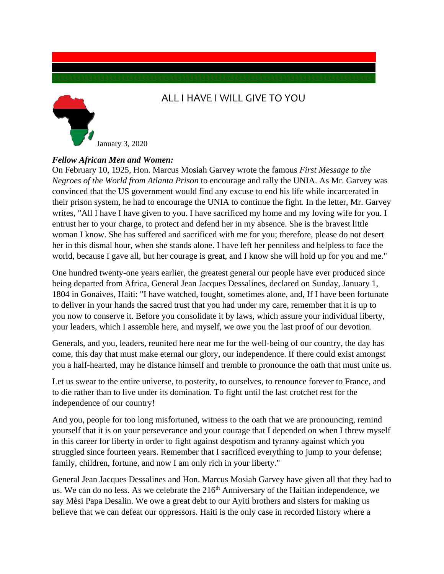

# ALL I HAVE I WILL GIVE TO YOU

#### *Fellow African Men and Women:*

On February 10, 1925, Hon. Marcus Mosiah Garvey wrote the famous *First Message to the Negroes of the World from Atlanta Prison* to encourage and rally the UNIA. As Mr. Garvey was convinced that the US government would find any excuse to end his life while incarcerated in their prison system, he had to encourage the UNIA to continue the fight. In the letter, Mr. Garvey writes, "All I have I have given to you. I have sacrificed my home and my loving wife for you. I entrust her to your charge, to protect and defend her in my absence. She is the bravest little woman I know. She has suffered and sacrificed with me for you; therefore, please do not desert her in this dismal hour, when she stands alone. I have left her penniless and helpless to face the world, because I gave all, but her courage is great, and I know she will hold up for you and me."

One hundred twenty-one years earlier, the greatest general our people have ever produced since being departed from Africa, General Jean Jacques Dessalines, declared on Sunday, January 1, 1804 in Gonaives, Haiti: "I have watched, fought, sometimes alone, and, If I have been fortunate to deliver in your hands the sacred trust that you had under my care, remember that it is up to you now to conserve it. Before you consolidate it by laws, which assure your individual liberty, your leaders, which I assemble here, and myself, we owe you the last proof of our devotion.

Generals, and you, leaders, reunited here near me for the well-being of our country, the day has come, this day that must make eternal our glory, our independence. If there could exist amongst you a half-hearted, may he distance himself and tremble to pronounce the oath that must unite us.

Let us swear to the entire universe, to posterity, to ourselves, to renounce forever to France, and to die rather than to live under its domination. To fight until the last crotchet rest for the independence of our country!

And you, people for too long misfortuned, witness to the oath that we are pronouncing, remind yourself that it is on your perseverance and your courage that I depended on when I threw myself in this career for liberty in order to fight against despotism and tyranny against which you struggled since fourteen years. Remember that I sacrificed everything to jump to your defense; family, children, fortune, and now I am only rich in your liberty."

General Jean Jacques Dessalines and Hon. Marcus Mosiah Garvey have given all that they had to us. We can do no less. As we celebrate the  $216<sup>th</sup>$  Anniversary of the Haitian independence, we say Mèsi Papa Desalin. We owe a great debt to our Ayiti brothers and sisters for making us believe that we can defeat our oppressors. Haiti is the only case in recorded history where a